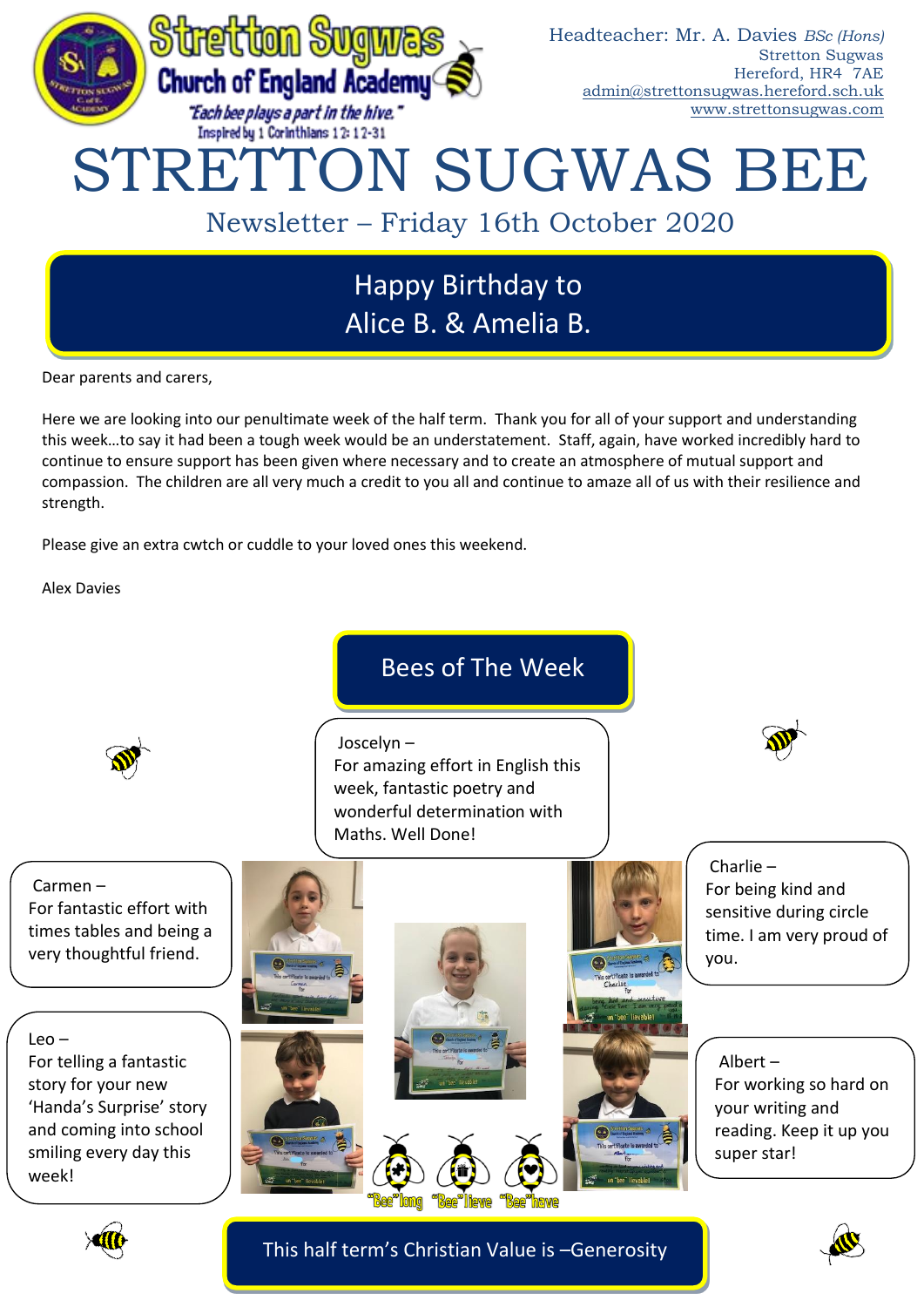

# Happy Birthday to Alice B. & Amelia B.

Dear parents and carers,

Here we are looking into our penultimate week of the half term. Thank you for all of your support and understanding this week…to say it had been a tough week would be an understatement. Staff, again, have worked incredibly hard to continue to ensure support has been given where necessary and to create an atmosphere of mutual support and compassion. The children are all very much a credit to you all and continue to amaze all of us with their resilience and strength.

Please give an extra cwtch or cuddle to your loved ones this weekend.

Alex Davies





This half term's Christian Value is –Generosity